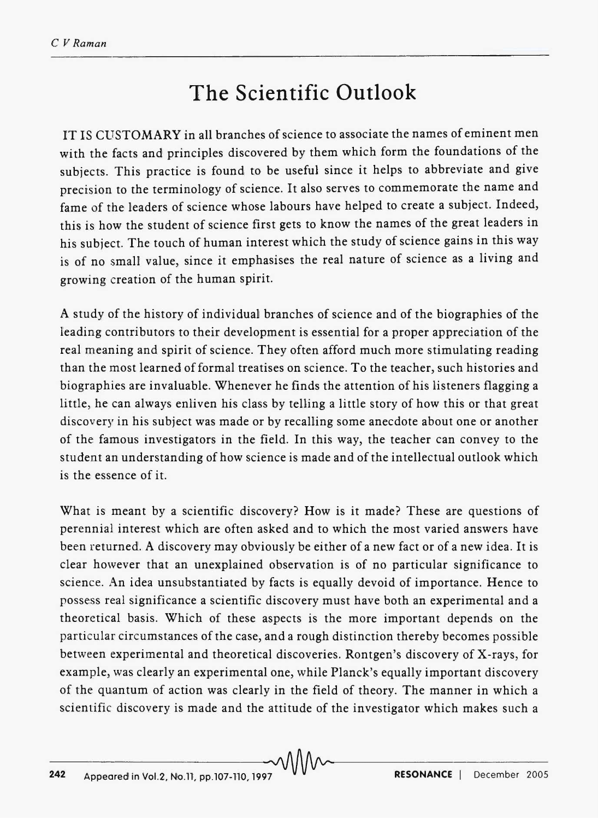## **The Scientific Outlook**

IT IS CUSTOMARY in all branches of science to associate the names of eminent men with the facts and principles discovered by them which form the foundations of the subjects. This practice is found to be useful since it helps to abbreviate and give precision to the terminology of science. It also serves to commemorate the name and fame of the leaders of science whose labours have helped to create a subject. Indeed, this is how the student of science first gets to know the names of the great leaders in his subject. The touch of human interest which the study of science gains in this way is of no small value, since it emphasises the real nature of science as a living and growing creation of the human spirit.

A study of the history of individual branches of science and of the biographies of the leading contributors to their development is essential for a proper appreciation of the real meaning and spirit of science. They often afford much more stimulating reading than the most learned of formal treatises on science. To the teacher, such histories and biographies are invaluable. Whenever he finds the attention of his listeners flagging a little, he can always enliven his class by telling a little story of how this or that great discovery in his subject was made or by recalling some anecdote about one or another of the famous investigators in the field. In this way, the teacher can convey to the student an understanding of how science is made and of the intellectual outlook which is the essence of it.

What is meant by a scientific discovery? How is it made? These are questions of perennial interest which are often asked and to which the most varied answers have been returned. A discovery may obviously be either of a new fact or of a new idea. It is clear however that an unexplained observation is of no particular significance to science. An idea unsubstantiated by facts is equally devoid of importance. Hence to possess real significance a scientific discovery must have both an experimental and a theoretical basis. Which of these aspects is the more important depends on the particular circumstances of the case, and a rough distinction thereby becomes possible between experimental and theoretical discoveries. Rontgen's discovery of X-rays, for example, was clearly an experimental one, while Planck's equally important discovery of the quantum of action was clearly in the field of theory. The manner in which a scientific discovery is made and the attitude of the investigator which makes such a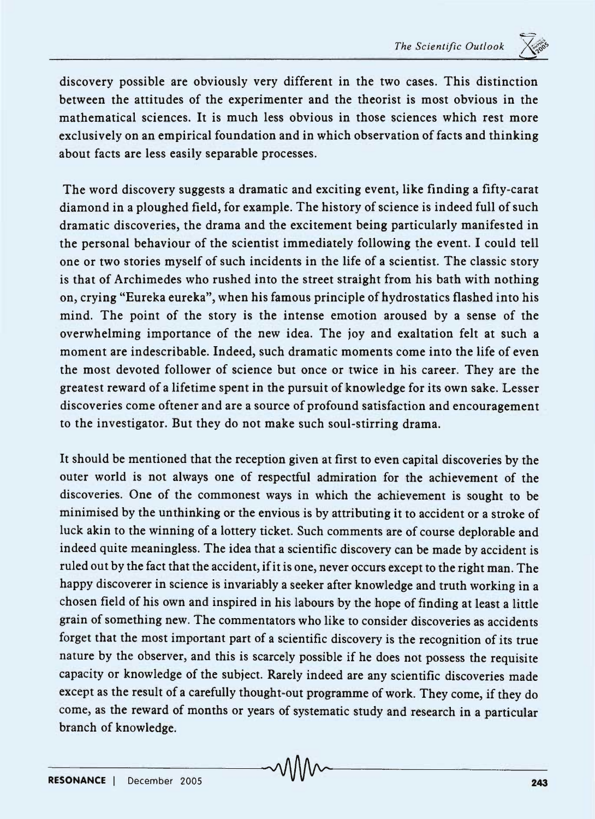$\Rightarrow$ 

 $=$ 

discovery possible are obviously very different in the two cases. This distinction between the attitudes of the experimenter and the theorist is most obvious in the mathematical sciences. It is much less obvious in those sciences which rest more exclusively on an empirical foundation and in which observation of facts and thinking about facts are less easily separable processes.

The word discovery suggests a dramatic and exciting event, like finding a fifty-carat diamond in a ploughed field, for example. The history of science is indeed full of such dramatic discoveries, the drama and the excitement being particularly manifested in the personal behaviour of the scientist immediately following the event. I could tell one or two stories myself of such incidents in the life of a scientist. The classic story is that of Archimedes who rushed into the street straight from his bath with nothing on, crying "Eureka eureka", when his famous principle of hydrostatics flashed into his mind. The point of the story is the intense emotion aroused by a sense of the overwhelming importance of the new idea. The joy and exaltation felt at such a moment are indescribable. Indeed, such dramatic moments come into the life of even the most devoted follower of science but once or twice in his career. They are the greatest reward of a lifetime spent in the pursuit of knowledge for its own sake. Lesser discoveries come oftener and are a source of profound satisfaction and encouragement to the investigator. But they do not make such soul-stirring drama.

It should be mentioned that the reception given at first to even capital discoveries by the outer world is not always one of respectful admiration for the achievement of the discoveries. One of the commonest ways in which the achievement is sought to be minimised by the unthinking or the envious is by attributing it to accident or a stroke of luck akin to the winning of a lottery ticket. Such comments are of course deplorable and indeed quite meaningless. The idea that a scientific discovery can be made by accident is ruled out by the fact that the accident, if it is one, never occurs except to the right man. The happy discoverer in science is invariably a seeker after knowledge and truth working in a chosen field of his own and inspired in his labours by the hope of finding at least a little grain of something new. The commentators who like to consider discoveries as accidents forget that the most important part of a scientific discovery is the recognition of its true nature by the observer, and this is scarcely possible if he does not possess the requisite capacity or knowledge of the subject. Rarely indeed are any scientific discoveries made except as the result of a carefully thought-out programme of work. They come, if they do come, as the reward of months or years of systematic study and research in a particular branch of knowledge.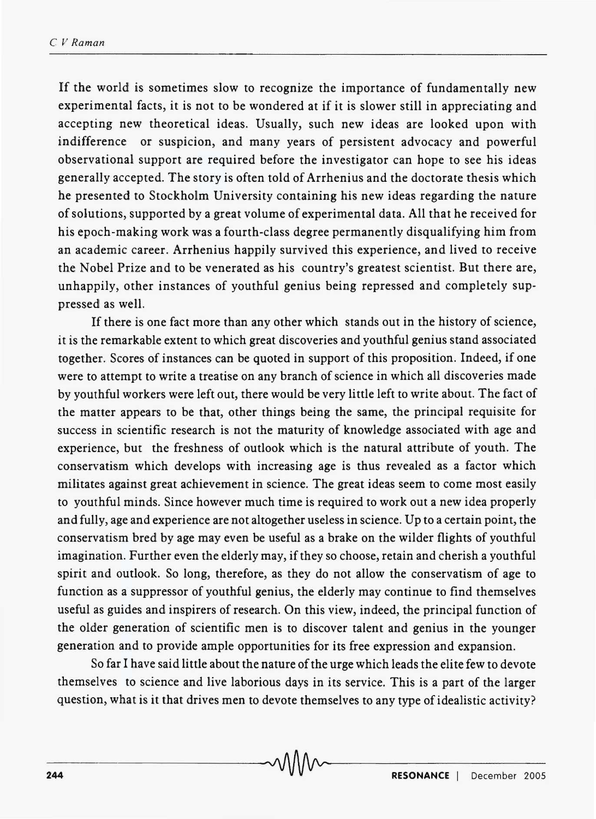If the world is sometimes slow to recognize the importance of fundamentally new experimental facts, it is not to be wondered at if it is slower still in appreciating and accepting new theoretical ideas. Usually, such new ideas are looked upon with indifference or suspicion, and many years of persistent advocacy and powerful observational support are required before the investigator can hope to see his ideas generally accepted. The story is often told of Arrhenius and the doctorate thesis which he presented to Stockholm University containing his new ideas regarding the nature of solutions, supported by a great volume of experimental data. All that he received for his epoch-making work was a fourth-class degree permanently disqualifying him from an academic career. Arrhenius happily survived this experience, and lived to receive the Nobel Prize and to be venerated as his country's greatest scientist. But there are, unhappily, other instances of youthful genius being repressed and completely suppressed as well.

If there is one fact more than any other which stands out in the history of science, it is the remarkable extent to which great discoveries and youthful genius stand associated together. Scores of instances can be quoted in support of this proposition. Indeed, if one were to attempt to write a treatise on any branch of science in which all discoveries made by youthful workers were left out, there would be very little left to write about. The fact of the matter appears to be that, other things being the same, the principal requisite for success in scientific research is not the maturity of knowledge associated with age and experience, but the freshness of outlook which is the natural attribute of youth. The conservatism which develops with increasing age is thus revealed as a factor which militates against great achievement in science. The great ideas seem to come most easily to youthful minds. Since however much time is required to work out a new idea properly and fully, age and experience are not altogether useless in science. Up to a certain point, the conservatism bred by age may even be useful as a brake on the wilder flights of youthful imagination. Further even the elderly may, if they so choose, retain and cherish a youthful spirit and outlook. So long, therefore, as they do not allow the conservatism of age to function as a suppressor of youthful genius, the elderly may continue to find themselves useful as guides and inspirers of research. On this view, indeed, the principal function of the older generation of scientific men is to discover talent and genius in the younger generation and to provide ample opportunities for its free expression and expansion.

So far I have said little about the nature of the urge which leads the elite few to devote themselves to science and live laborious days in its service. This is a part of the larger question, what is it that drives men to devote themselves to any type of idealistic activity?

 $244M$